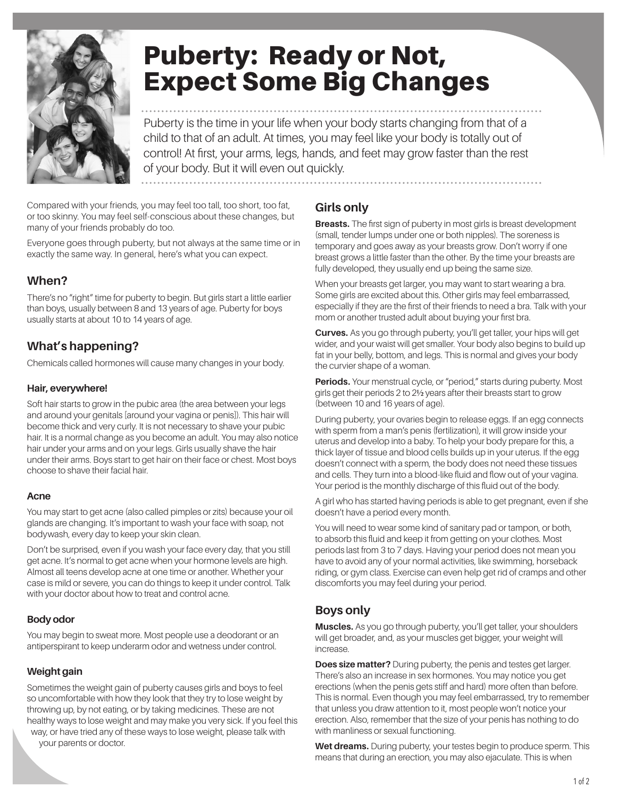

# Puberty: Ready or Not, Expect Some Big Changes

Puberty is the time in your life when your body starts changing from that of a child to that of an adult. At times, you may feel like your body is totally out of control! At first, your arms, legs, hands, and feet may grow faster than the rest of your body. But it will even out quickly.

Compared with your friends, you may feel too tall, too short, too fat, or too skinny. You may feel self-conscious about these changes, but many of your friends probably do too.

Everyone goes through puberty, but not always at the same time or in exactly the same way. In general, here's what you can expect.

# **When?**

There's no "right" time for puberty to begin. But girls start a little earlier than boys, usually between 8 and 13 years of age. Puberty for boys usually starts at about 10 to 14 years of age.

## **What's happening?**

Chemicals called hormones will cause many changes in your body.

#### **Hair, everywhere!**

Soft hair starts to grow in the pubic area (the area between your legs and around your genitals [around your vagina or penis]). This hair will become thick and very curly. It is not necessary to shave your pubic hair. It is a normal change as you become an adult. You may also notice hair under your arms and on your legs. Girls usually shave the hair under their arms. Boys start to get hair on their face or chest. Most boys choose to shave their facial hair.

#### **Acne**

You may start to get acne (also called pimples or zits) because your oil glands are changing. It's important to wash your face with soap, not bodywash, every day to keep your skin clean.

Don't be surprised, even if you wash your face every day, that you still get acne. It's normal to get acne when your hormone levels are high. Almost all teens develop acne at one time or another. Whether your case is mild or severe, you can do things to keep it under control. Talk with your doctor about how to treat and control acne.

## **Body odor**

You may begin to sweat more. Most people use a deodorant or an antiperspirant to keep underarm odor and wetness under control.

## **Weight gain**

Sometimes the weight gain of puberty causes girls and boys to feel so uncomfortable with how they look that they try to lose weight by throwing up, by not eating, or by taking medicines. These are not healthy ways to lose weight and may make you very sick. If you feel this way, or have tried any of these ways to lose weight, please talk with

your parents or doctor.

## **Girls only**

**Breasts.** The first sign of puberty in most girls is breast development (small, tender lumps under one or both nipples). The soreness is temporary and goes away as your breasts grow. Don't worry if one breast grows a little faster than the other. By the time your breasts are fully developed, they usually end up being the same size.

When your breasts get larger, you may want to start wearing a bra. Some girls are excited about this. Other girls may feel embarrassed, especially if they are the first of their friends to need a bra. Talk with your mom or another trusted adult about buying your first bra.

**Curves.** As you go through puberty, you'll get taller, your hips will get wider, and your waist will get smaller. Your body also begins to build up fat in your belly, bottom, and legs. This is normal and gives your body the curvier shape of a woman.

Periods. Your menstrual cycle, or "period," starts during puberty. Most girls get their periods 2 to 2½ years after their breasts start to grow (between 10 and 16 years of age).

During puberty, your ovaries begin to release eggs. If an egg connects with sperm from a man's penis (fertilization), it will grow inside your uterus and develop into a baby. To help your body prepare for this, a thick layer of tissue and blood cells builds up in your uterus. If the egg doesn't connect with a sperm, the body does not need these tissues and cells. They turn into a blood-like fluid and flow out of your vagina. Your period is the monthly discharge of this fluid out of the body.

A girl who has started having periods is able to get pregnant, even if she doesn't have a period every month.

You will need to wear some kind of sanitary pad or tampon, or both, to absorb this fluid and keep it from getting on your clothes. Most periods last from 3 to 7 days. Having your period does not mean you have to avoid any of your normal activities, like swimming, horseback riding, or gym class. Exercise can even help get rid of cramps and other discomforts you may feel during your period.

# **Boys only**

**Muscles.** As you go through puberty, you'll get taller, your shoulders will get broader, and, as your muscles get bigger, your weight will increase.

**Does size matter?** During puberty, the penis and testes get larger. There's also an increase in sex hormones. You may notice you get erections (when the penis gets stiff and hard) more often than before. This is normal. Even though you may feel embarrassed, try to remember that unless you draw attention to it, most people won't notice your erection. Also, remember that the size of your penis has nothing to do with manliness or sexual functioning.

**Wet dreams.** During puberty, your testes begin to produce sperm. This means that during an erection, you may also ejaculate. This is when